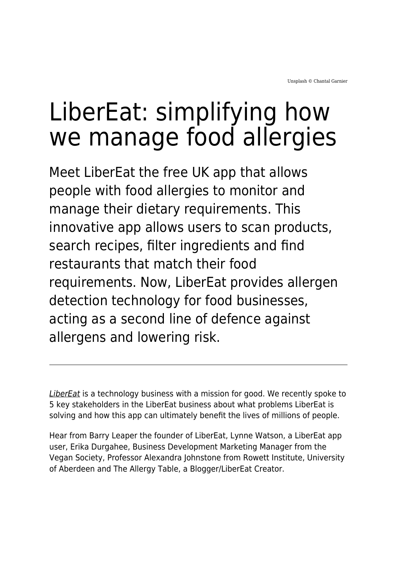# LiberEat: simplifying how we manage food allergies

Meet LiberEat the free UK app that allows people with food allergies to monitor and manage their dietary requirements. This innovative app allows users to scan products, search recipes, filter ingredients and find restaurants that match their food requirements. Now, LiberEat provides allergen detection technology for food businesses, acting as a second line of defence against allergens and lowering risk.

[LiberEat](https://libereat.com/) is a technology business with a mission for good. We recently spoke to 5 key stakeholders in the LiberEat business about what problems LiberEat is solving and how this app can ultimately benefit the lives of millions of people.

Hear from Barry Leaper the founder of LiberEat, Lynne Watson, a LiberEat app user, Erika Durgahee, Business Development Marketing Manager from the Vegan Society, Professor Alexandra Johnstone from Rowett Institute, University of Aberdeen and The Allergy Table, a Blogger/LiberEat Creator.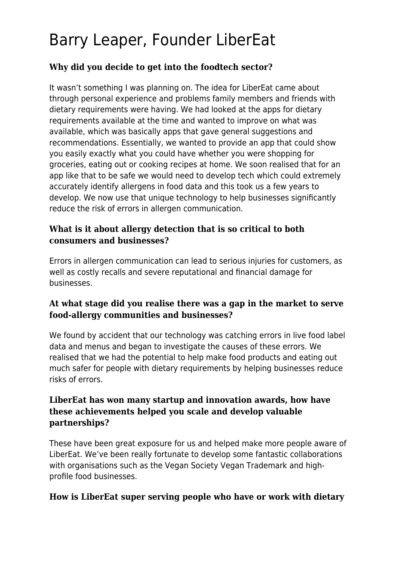# Barry Leaper, Founder LiberEat

#### **Why did you decide to get into the foodtech sector?**

It wasn't something I was planning on. The idea for LiberEat came about through personal experience and problems family members and friends with dietary requirements were having. We had looked at the apps for dietary requirements available at the time and wanted to improve on what was available, which was basically apps that gave general suggestions and recommendations. Essentially, we wanted to provide an app that could show you easily exactly what you could have whether you were shopping for groceries, eating out or cooking recipes at home. We soon realised that for an app like that to be safe we would need to develop tech which could extremely accurately identify allergens in food data and this took us a few years to develop. We now use that unique technology to help businesses significantly reduce the risk of errors in allergen communication.

#### **What is it about allergy detection that is so critical to both consumers and businesses?**

Errors in allergen communication can lead to serious injuries for customers, as well as costly recalls and severe reputational and financial damage for businesses.

#### **At what stage did you realise there was a gap in the market to serve food-allergy communities and businesses?**

We found by accident that our technology was catching errors in live food label data and menus and began to investigate the causes of these errors. We realised that we had the potential to help make food products and eating out much safer for people with dietary requirements by helping businesses reduce risks of errors.

#### **LiberEat has won many startup and innovation awards, how have these achievements helped you scale and develop valuable partnerships?**

These have been great exposure for us and helped make more people aware of LiberEat. We've been really fortunate to develop some fantastic collaborations with organisations such as the Vegan Society Vegan Trademark and highprofile food businesses.

#### **How is LiberEat super serving people who have or work with dietary**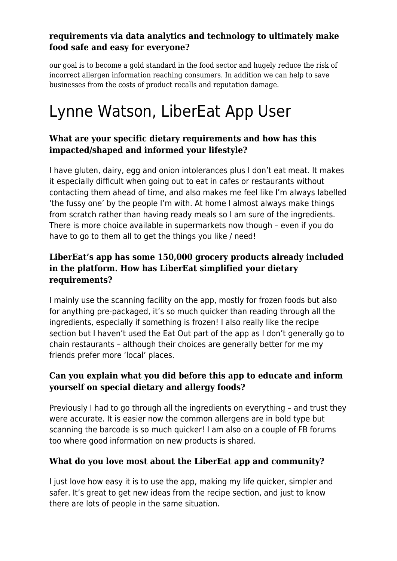#### **requirements via data analytics and technology to ultimately make food safe and easy for everyone?**

our goal is to become a gold standard in the food sector and hugely reduce the risk of incorrect allergen information reaching consumers. In addition we can help to save businesses from the costs of product recalls and reputation damage.

# Lynne Watson, LiberEat App User

#### **What are your specific dietary requirements and how has this impacted/shaped and informed your lifestyle?**

I have gluten, dairy, egg and onion intolerances plus I don't eat meat. It makes it especially difficult when going out to eat in cafes or restaurants without contacting them ahead of time, and also makes me feel like I'm always labelled 'the fussy one' by the people I'm with. At home I almost always make things from scratch rather than having ready meals so I am sure of the ingredients. There is more choice available in supermarkets now though – even if you do have to go to them all to get the things you like / need!

#### **LiberEat's app has some 150,000 grocery products already included in the platform. How has LiberEat simplified your dietary requirements?**

I mainly use the scanning facility on the app, mostly for frozen foods but also for anything pre-packaged, it's so much quicker than reading through all the ingredients, especially if something is frozen! I also really like the recipe section but I haven't used the Eat Out part of the app as I don't generally go to chain restaurants – although their choices are generally better for me my friends prefer more 'local' places.

#### **Can you explain what you did before this app to educate and inform yourself on special dietary and allergy foods?**

Previously I had to go through all the ingredients on everything – and trust they were accurate. It is easier now the common allergens are in bold type but scanning the barcode is so much quicker! I am also on a couple of FB forums too where good information on new products is shared.

#### **What do you love most about the LiberEat app and community?**

I just love how easy it is to use the app, making my life quicker, simpler and safer. It's great to get new ideas from the recipe section, and just to know there are lots of people in the same situation.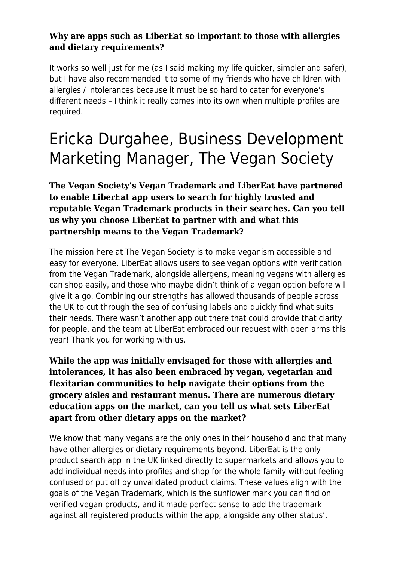#### **Why are apps such as LiberEat so important to those with allergies and dietary requirements?**

It works so well just for me (as I said making my life quicker, simpler and safer), but I have also recommended it to some of my friends who have children with allergies / intolerances because it must be so hard to cater for everyone's different needs – I think it really comes into its own when multiple profiles are required.

## Ericka Durgahee, Business Development Marketing Manager, The Vegan Society

**The Vegan Society's Vegan Trademark and LiberEat have partnered to enable LiberEat app users to search for highly trusted and reputable Vegan Trademark products in their searches. Can you tell us why you choose LiberEat to partner with and what this partnership means to the Vegan Trademark?**

The mission here at The Vegan Society is to make veganism accessible and easy for everyone. LiberEat allows users to see vegan options with verification from the Vegan Trademark, alongside allergens, meaning vegans with allergies can shop easily, and those who maybe didn't think of a vegan option before will give it a go. Combining our strengths has allowed thousands of people across the UK to cut through the sea of confusing labels and quickly find what suits their needs. There wasn't another app out there that could provide that clarity for people, and the team at LiberEat embraced our request with open arms this year! Thank you for working with us.

**While the app was initially envisaged for those with allergies and intolerances, it has also been embraced by vegan, vegetarian and flexitarian communities to help navigate their options from the grocery aisles and restaurant menus. There are numerous dietary education apps on the market, can you tell us what sets LiberEat apart from other dietary apps on the market?**

We know that many vegans are the only ones in their household and that many have other allergies or dietary requirements beyond. LiberEat is the only product search app in the UK linked directly to supermarkets and allows you to add individual needs into profiles and shop for the whole family without feeling confused or put off by unvalidated product claims. These values align with the goals of the Vegan Trademark, which is the sunflower mark you can find on verified vegan products, and it made perfect sense to add the trademark against all registered products within the app, alongside any other status'.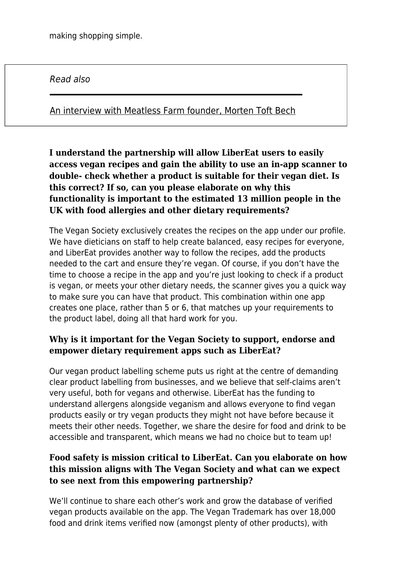Read also

[An interview with Meatless Farm founder, Morten Toft Bech](https://www.maddyness.com/uk/2021/03/31/an-interview-with-meatless-farm-founder-morten-toft-bech/)

**I understand the partnership will allow LiberEat users to easily access vegan recipes and gain the ability to use an in-app scanner to double- check whether a product is suitable for their vegan diet. Is this correct? If so, can you please elaborate on why this functionality is important to the estimated 13 million people in the UK with food allergies and other dietary requirements?**

The Vegan Society exclusively creates the recipes on the app under our profile. We have dieticians on staff to help create balanced, easy recipes for everyone, and LiberEat provides another way to follow the recipes, add the products needed to the cart and ensure they're vegan. Of course, if you don't have the time to choose a recipe in the app and you're just looking to check if a product is vegan, or meets your other dietary needs, the scanner gives you a quick way to make sure you can have that product. This combination within one app creates one place, rather than 5 or 6, that matches up your requirements to the product label, doing all that hard work for you.

#### **Why is it important for the Vegan Society to support, endorse and empower dietary requirement apps such as LiberEat?**

Our vegan product labelling scheme puts us right at the centre of demanding clear product labelling from businesses, and we believe that self-claims aren't very useful, both for vegans and otherwise. LiberEat has the funding to understand allergens alongside veganism and allows everyone to find vegan products easily or try vegan products they might not have before because it meets their other needs. Together, we share the desire for food and drink to be accessible and transparent, which means we had no choice but to team up!

#### **Food safety is mission critical to LiberEat. Can you elaborate on how this mission aligns with The Vegan Society and what can we expect to see next from this empowering partnership?**

We'll continue to share each other's work and grow the database of verified vegan products available on the app. The Vegan Trademark has over 18,000 food and drink items verified now (amongst plenty of other products), with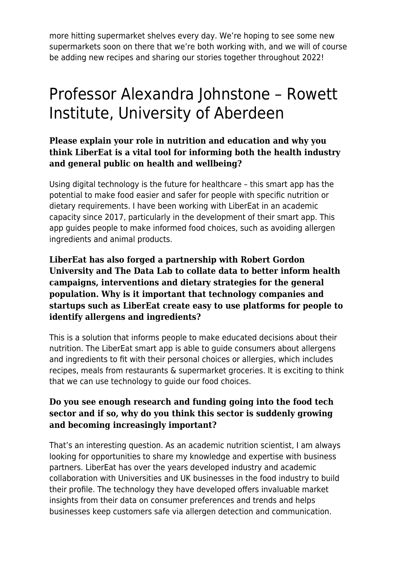more hitting supermarket shelves every day. We're hoping to see some new supermarkets soon on there that we're both working with, and we will of course be adding new recipes and sharing our stories together throughout 2022!

### Professor Alexandra Johnstone – Rowett Institute, University of Aberdeen

#### **Please explain your role in nutrition and education and why you think LiberEat is a vital tool for informing both the health industry and general public on health and wellbeing?**

Using digital technology is the future for healthcare – this smart app has the potential to make food easier and safer for people with specific nutrition or dietary requirements. I have been working with LiberEat in an academic capacity since 2017, particularly in the development of their smart app. This app guides people to make informed food choices, such as avoiding allergen ingredients and animal products.

**LiberEat has also forged a partnership with Robert Gordon University and The Data Lab to collate data to better inform health campaigns, interventions and dietary strategies for the general population. Why is it important that technology companies and startups such as LiberEat create easy to use platforms for people to identify allergens and ingredients?**

This is a solution that informs people to make educated decisions about their nutrition. The LiberEat smart app is able to guide consumers about allergens and ingredients to fit with their personal choices or allergies, which includes recipes, meals from restaurants & supermarket groceries. It is exciting to think that we can use technology to guide our food choices.

#### **Do you see enough research and funding going into the food tech sector and if so, why do you think this sector is suddenly growing and becoming increasingly important?**

That's an interesting question. As an academic nutrition scientist, I am always looking for opportunities to share my knowledge and expertise with business partners. LiberEat has over the years developed industry and academic collaboration with Universities and UK businesses in the food industry to build their profile. The technology they have developed offers invaluable market insights from their data on consumer preferences and trends and helps businesses keep customers safe via allergen detection and communication.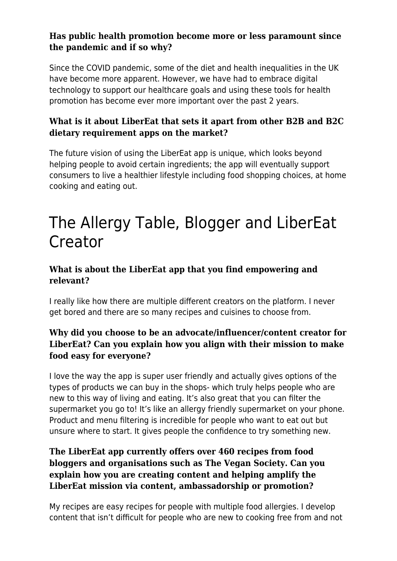#### **Has public health promotion become more or less paramount since the pandemic and if so why?**

Since the COVID pandemic, some of the diet and health inequalities in the UK have become more apparent. However, we have had to embrace digital technology to support our healthcare goals and using these tools for health promotion has become ever more important over the past 2 years.

#### **What is it about LiberEat that sets it apart from other B2B and B2C dietary requirement apps on the market?**

The future vision of using the LiberEat app is unique, which looks beyond helping people to avoid certain ingredients; the app will eventually support consumers to live a healthier lifestyle including food shopping choices, at home cooking and eating out.

### The Allergy Table, Blogger and LiberEat Creator

#### **What is about the LiberEat app that you find empowering and relevant?**

I really like how there are multiple different creators on the platform. I never get bored and there are so many recipes and cuisines to choose from.

#### **Why did you choose to be an advocate/influencer/content creator for LiberEat? Can you explain how you align with their mission to make food easy for everyone?**

I love the way the app is super user friendly and actually gives options of the types of products we can buy in the shops- which truly helps people who are new to this way of living and eating. It's also great that you can filter the supermarket you go to! It's like an allergy friendly supermarket on your phone. Product and menu filtering is incredible for people who want to eat out but unsure where to start. It gives people the confidence to try something new.

#### **The LiberEat app currently offers over 460 recipes from food bloggers and organisations such as The Vegan Society. Can you explain how you are creating content and helping amplify the LiberEat mission via content, ambassadorship or promotion?**

My recipes are easy recipes for people with multiple food allergies. I develop content that isn't difficult for people who are new to cooking free from and not